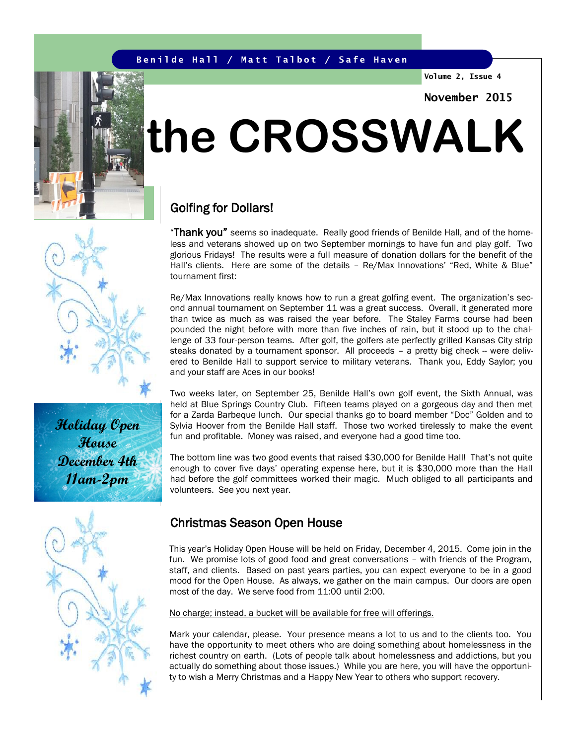#### **Benilde Hall / Matt Talbot / Safe Haven**

**Volume 2, Issue 4**

**November 2015**

# **the CROSSWALK**

### Golfing for Dollars!

"Thank you" seems so inadequate. Really good friends of Benilde Hall, and of the homeless and veterans showed up on two September mornings to have fun and play golf. Two glorious Fridays! The results were a full measure of donation dollars for the benefit of the Hall's clients. Here are some of the details – Re/Max Innovations' "Red, White & Blue" tournament first:

Re/Max Innovations really knows how to run a great golfing event. The organization's second annual tournament on September 11 was a great success. Overall, it generated more than twice as much as was raised the year before. The Staley Farms course had been pounded the night before with more than five inches of rain, but it stood up to the challenge of 33 four-person teams. After golf, the golfers ate perfectly grilled Kansas City strip steaks donated by a tournament sponsor. All proceeds - a pretty big check -- were delivered to Benilde Hall to support service to military veterans. Thank you, Eddy Saylor; you and your staff are Aces in our books!

Two weeks later, on September 25, Benilde Hall's own golf event, the Sixth Annual, was held at Blue Springs Country Club. Fifteen teams played on a gorgeous day and then met for a Zarda Barbeque lunch. Our special thanks go to board member "Doc" Golden and to Sylvia Hoover from the Benilde Hall staff. Those two worked tirelessly to make the event fun and profitable. Money was raised, and everyone had a good time too.

The bottom line was two good events that raised \$30,000 for Benilde Hall! That's not quite enough to cover five days' operating expense here, but it is \$30,000 more than the Hall had before the golf committees worked their magic. Much obliged to all participants and volunteers. See you next year.

### Christmas Season Open House

This year's Holiday Open House will be held on Friday, December 4, 2015. Come join in the fun. We promise lots of good food and great conversations – with friends of the Program, staff, and clients. Based on past years parties, you can expect everyone to be in a good mood for the Open House. As always, we gather on the main campus. Our doors are open most of the day. We serve food from 11:00 until 2:00.

No charge; instead, a bucket will be available for free will offerings.

Mark your calendar, please. Your presence means a lot to us and to the clients too. You have the opportunity to meet others who are doing something about homelessness in the richest country on earth. (Lots of people talk about homelessness and addictions, but you actually do something about those issues.) While you are here, you will have the opportunity to wish a Merry Christmas and a Happy New Year to others who support recovery.





**Holiday Open House December 4th 11am-2pm**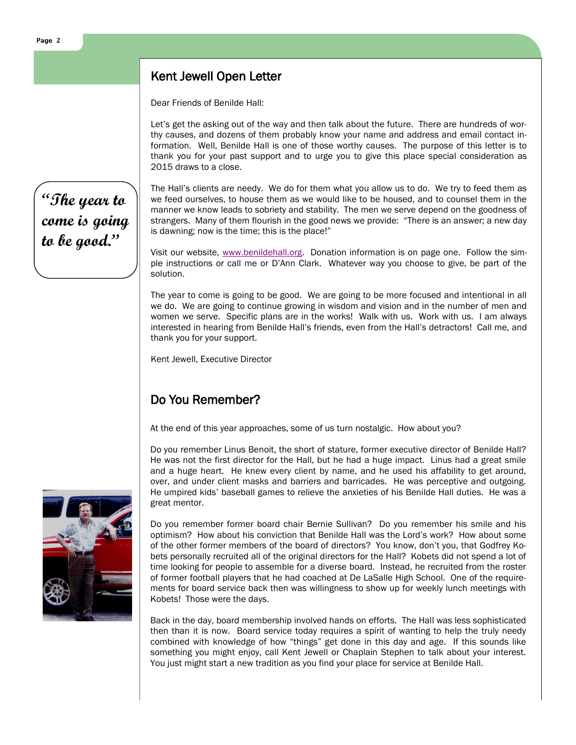### Kent Jewell Open Letter

Dear Friends of Benilde Hall:

Let's get the asking out of the way and then talk about the future. There are hundreds of worthy causes, and dozens of them probably know your name and address and email contact information. Well, Benilde Hall is one of those worthy causes. The purpose of this letter is to thank you for your past support and to urge you to give this place special consideration as 2015 draws to a close.

**"The year to come is going to be good."**

The Hall's clients are needy. We do for them what you allow us to do. We try to feed them as we feed ourselves, to house them as we would like to be housed, and to counsel them in the manner we know leads to sobriety and stability. The men we serve depend on the goodness of strangers. Many of them flourish in the good news we provide: "There is an answer; a new day is dawning; now is the time; this is the place!"

Visit our website, [www.benildehall.org.](http://www.benildehall.org) Donation information is on page one. Follow the simple instructions or call me or D'Ann Clark. Whatever way you choose to give, be part of the solution.

The year to come is going to be good. We are going to be more focused and intentional in all we do. We are going to continue growing in wisdom and vision and in the number of men and women we serve. Specific plans are in the works! Walk with us. Work with us. I am always interested in hearing from Benilde Hall's friends, even from the Hall's detractors! Call me, and thank you for your support.

Kent Jewell, Executive Director

## Do You Remember?

At the end of this year approaches, some of us turn nostalgic. How about you?

Do you remember Linus Benoit, the short of stature, former executive director of Benilde Hall? He was not the first director for the Hall, but he had a huge impact. Linus had a great smile and a huge heart. He knew every client by name, and he used his affability to get around, over, and under client masks and barriers and barricades. He was perceptive and outgoing. He umpired kids' baseball games to relieve the anxieties of his Benilde Hall duties. He was a great mentor.

Do you remember former board chair Bernie Sullivan? Do you remember his smile and his optimism? How about his conviction that Benilde Hall was the Lord's work? How about some of the other former members of the board of directors? You know, don't you, that Godfrey Kobets personally recruited all of the original directors for the Hall? Kobets did not spend a lot of time looking for people to assemble for a diverse board. Instead, he recruited from the roster of former football players that he had coached at De LaSalle High School. One of the requirements for board service back then was willingness to show up for weekly lunch meetings with Kobets! Those were the days.

Back in the day, board membership involved hands on efforts. The Hall was less sophisticated then than it is now. Board service today requires a spirit of wanting to help the truly needy combined with knowledge of how "things" get done in this day and age. If this sounds like something you might enjoy, call Kent Jewell or Chaplain Stephen to talk about your interest. You just might start a new tradition as you find your place for service at Benilde Hall.

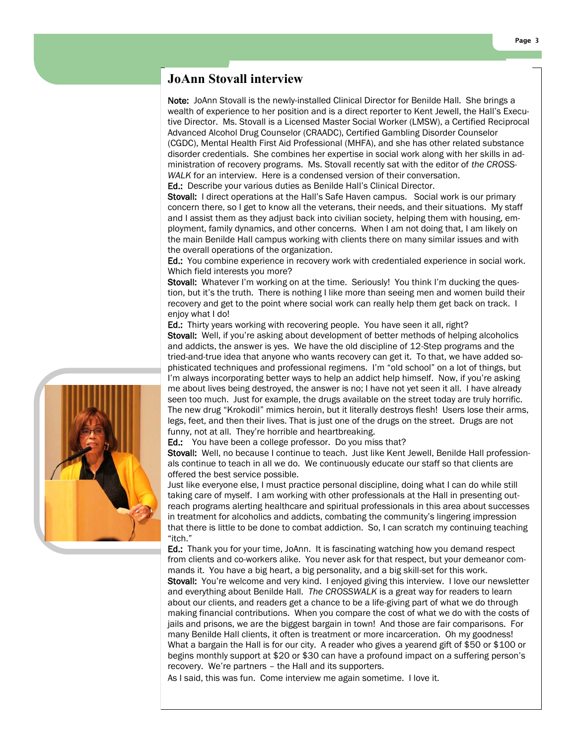#### **JoAnn Stovall interview**

Note: JoAnn Stovall is the newly-installed Clinical Director for Benilde Hall. She brings a wealth of experience to her position and is a direct reporter to Kent Jewell, the Hall's Executive Director. Ms. Stovall is a Licensed Master Social Worker (LMSW), a Certified Reciprocal Advanced Alcohol Drug Counselor (CRAADC), Certified Gambling Disorder Counselor (CGDC), Mental Health First Aid Professional (MHFA), and she has other related substance disorder credentials. She combines her expertise in social work along with her skills in administration of recovery programs. Ms. Stovall recently sat with the editor of *the CROSS-WALK* for an interview. Here is a condensed version of their conversation. Ed.: Describe your various duties as Benilde Hall's Clinical Director.

Stovall: I direct operations at the Hall's Safe Haven campus. Social work is our primary concern there, so I get to know all the veterans, their needs, and their situations. My staff and I assist them as they adjust back into civilian society, helping them with housing, employment, family dynamics, and other concerns. When I am not doing that, I am likely on the main Benilde Hall campus working with clients there on many similar issues and with the overall operations of the organization.

Ed.: You combine experience in recovery work with credentialed experience in social work. Which field interests you more?

Stovall: Whatever I'm working on at the time. Seriously! You think I'm ducking the question, but it's the truth. There is nothing I like more than seeing men and women build their recovery and get to the point where social work can really help them get back on track. I enjoy what I do!

Ed.: Thirty years working with recovering people. You have seen it all, right?

Stovall: Well, if you're asking about development of better methods of helping alcoholics and addicts, the answer is yes. We have the old discipline of 12-Step programs and the tried-and-true idea that anyone who wants recovery can get it. To that, we have added sophisticated techniques and professional regimens. I'm "old school" on a lot of things, but I'm always incorporating better ways to help an addict help himself. Now, if you're asking me about lives being destroyed, the answer is no; I have not yet seen it all. I have already seen too much. Just for example, the drugs available on the street today are truly horrific. The new drug "Krokodil" mimics heroin, but it literally destroys flesh! Users lose their arms, legs, feet, and then their lives. That is just one of the drugs on the street. Drugs are not funny, not at all. They're horrible and heartbreaking.

Ed.: You have been a college professor. Do you miss that?

Stovall: Well, no because I continue to teach. Just like Kent Jewell, Benilde Hall professionals continue to teach in all we do. We continuously educate our staff so that clients are offered the best service possible.

Just like everyone else, I must practice personal discipline, doing what I can do while still taking care of myself. I am working with other professionals at the Hall in presenting outreach programs alerting healthcare and spiritual professionals in this area about successes in treatment for alcoholics and addicts, combating the community's lingering impression that there is little to be done to combat addiction. So, I can scratch my continuing teaching "itch."

Ed.: Thank you for your time, JoAnn. It is fascinating watching how you demand respect from clients and co-workers alike. You never ask for that respect, but your demeanor commands it. You have a big heart, a big personality, and a big skill-set for this work.

Stovall: You're welcome and very kind. I enjoyed giving this interview. I love our newsletter and everything about Benilde Hall. *The CROSSWALK* is a great way for readers to learn about our clients, and readers get a chance to be a life-giving part of what we do through making financial contributions. When you compare the cost of what we do with the costs of jails and prisons, we are the biggest bargain in town! And those are fair comparisons. For many Benilde Hall clients, it often is treatment or more incarceration. Oh my goodness! What a bargain the Hall is for our city. A reader who gives a yearend gift of \$50 or \$100 or begins monthly support at \$20 or \$30 can have a profound impact on a suffering person's recovery. We're partners – the Hall and its supporters.

As I said, this was fun. Come interview me again sometime. I love it.